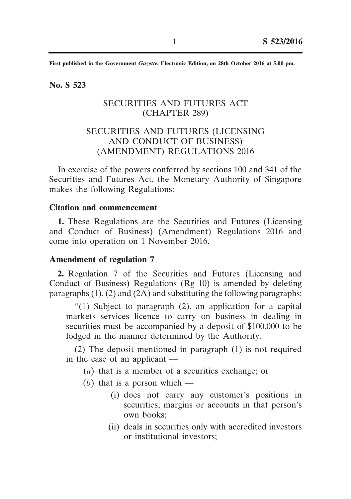**First published in the Government** *Gazette***, Electronic Edition, on 28th October 2016 at 5.00 pm.**

**No. S 523**

## SECURITIES AND FUTURES ACT (CHAPTER 289)

# SECURITIES AND FUTURES (LICENSING AND CONDUCT OF BUSINESS) (AMENDMENT) REGULATIONS 2016

In exercise of the powers conferred by sections 100 and 341 of the Securities and Futures Act, the Monetary Authority of Singapore makes the following Regulations:

### **Citation and commencement**

**1.** These Regulations are the Securities and Futures (Licensing and Conduct of Business) (Amendment) Regulations 2016 and come into operation on 1 November 2016.

#### **Amendment of regulation 7**

**2.** Regulation 7 of the Securities and Futures (Licensing and Conduct of Business) Regulations (Rg 10) is amended by deleting paragraphs  $(1)$ ,  $(2)$  and  $(2A)$  and substituting the following paragraphs:

"(1) Subject to paragraph (2), an application for a capital markets services licence to carry on business in dealing in securities must be accompanied by a deposit of \$100,000 to be lodged in the manner determined by the Authority.

(2) The deposit mentioned in paragraph (1) is not required in the case of an applicant  $-$ 

 (*a*) that is a member of a securities exchange; or

- (*b*) that is a person which  $-$ 
	- (i) does not carry any customer's positions in securities, margins or accounts in that person's own books;
	- (ii) deals in securities only with accredited investors or institutional investors;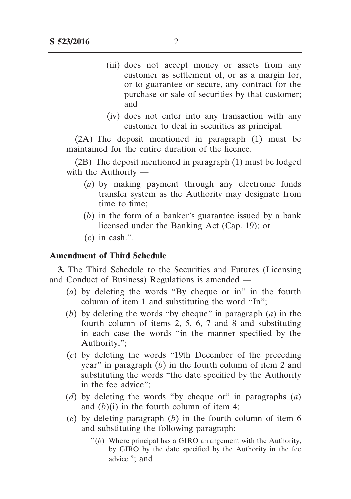- (iii) does not accept money or assets from any customer as settlement of, or as a margin for, or to guarantee or secure, any contract for the purchase or sale of securities by that customer; and
- (iv) does not enter into any transaction with any customer to deal in securities as principal.

(2A) The deposit mentioned in paragraph (1) must be maintained for the entire duration of the licence.

(2B) The deposit mentioned in paragraph (1) must be lodged with the Authority  $-$ 

- (*a*) by making payment through any electronic funds transfer system as the Authority may designate from time to time;
- (*b*) in the form of a banker's guarantee issued by a bank licensed under the Banking Act (Cap. 19); or
- $(c)$  in cash.".

### **Amendment of Third Schedule**

**3.** The Third Schedule to the Securities and Futures (Licensing and Conduct of Business) Regulations is amended ––

- (*a*) by deleting the words "By cheque or in" in the fourth column of item 1 and substituting the word "In";
- (*b*) by deleting the words "by cheque" in paragraph (*a*) in the fourth column of items 2, 5, 6, 7 and 8 and substituting in each case the words "in the manner specified by the Authority,";
- (*c*) by deleting the words "19th December of the preceding year" in paragraph (*b*) in the fourth column of item 2 and substituting the words "the date specified by the Authority in the fee advice";
- (*d*) by deleting the words "by cheque or" in paragraphs (*a*) and  $(b)(i)$  in the fourth column of item 4;
- (*e*) by deleting paragraph (*b*) in the fourth column of item 6 and substituting the following paragraph:
	- $\degree$ (b) Where principal has a GIRO arrangement with the Authority, by GIRO by the date specified by the Authority in the fee advice."; and